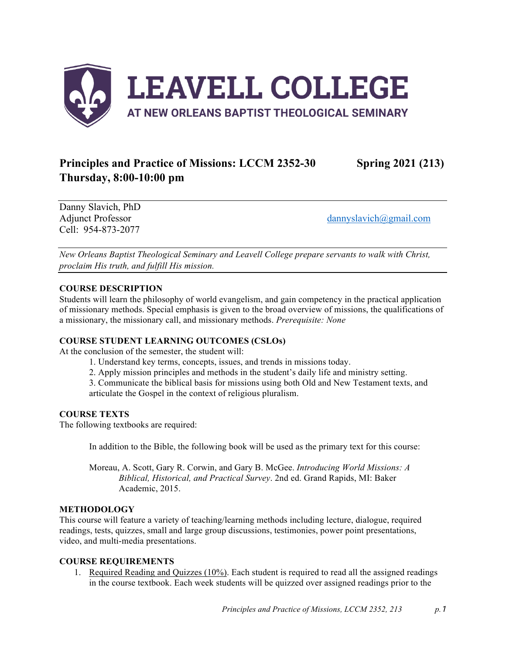

# **Principles and Practice of Missions: LCCM 2352-30 Spring 2021 (213) Thursday, 8:00-10:00 pm**

Danny Slavich, PhD Cell: 954-873-2077

Adjunct Professor dannyslavich@gmail.com

*New Orleans Baptist Theological Seminary and Leavell College prepare servants to walk with Christ, proclaim His truth, and fulfill His mission.*

## **COURSE DESCRIPTION**

Students will learn the philosophy of world evangelism, and gain competency in the practical application of missionary methods. Special emphasis is given to the broad overview of missions, the qualifications of a missionary, the missionary call, and missionary methods. *Prerequisite: None*

#### **COURSE STUDENT LEARNING OUTCOMES (CSLOs)**

At the conclusion of the semester, the student will:

- 1. Understand key terms, concepts, issues, and trends in missions today.
- 2. Apply mission principles and methods in the student's daily life and ministry setting.

3. Communicate the biblical basis for missions using both Old and New Testament texts, and articulate the Gospel in the context of religious pluralism.

## **COURSE TEXTS**

The following textbooks are required:

In addition to the Bible, the following book will be used as the primary text for this course:

Moreau, A. Scott, Gary R. Corwin, and Gary B. McGee. *Introducing World Missions: A Biblical, Historical, and Practical Survey*. 2nd ed. Grand Rapids, MI: Baker Academic, 2015.

## **METHODOLOGY**

This course will feature a variety of teaching/learning methods including lecture, dialogue, required readings, tests, quizzes, small and large group discussions, testimonies, power point presentations, video, and multi-media presentations.

#### **COURSE REQUIREMENTS**

1. Required Reading and Quizzes (10%). Each student is required to read all the assigned readings in the course textbook. Each week students will be quizzed over assigned readings prior to the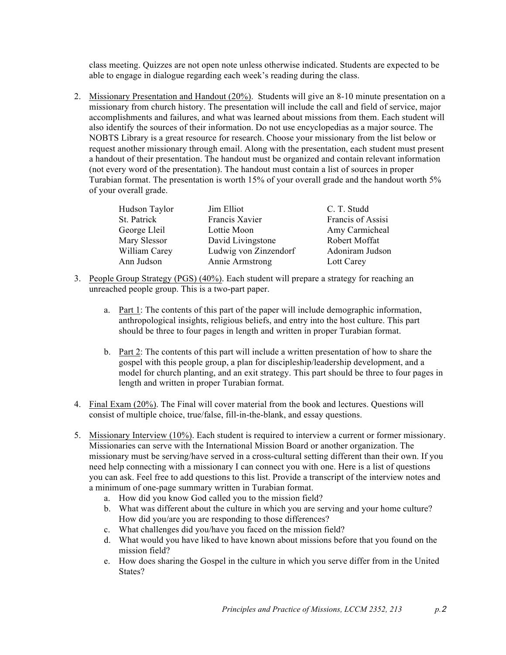class meeting. Quizzes are not open note unless otherwise indicated. Students are expected to be able to engage in dialogue regarding each week's reading during the class.

2. Missionary Presentation and Handout (20%). Students will give an 8-10 minute presentation on a missionary from church history. The presentation will include the call and field of service, major accomplishments and failures, and what was learned about missions from them. Each student will also identify the sources of their information. Do not use encyclopedias as a major source. The NOBTS Library is a great resource for research. Choose your missionary from the list below or request another missionary through email. Along with the presentation, each student must present a handout of their presentation. The handout must be organized and contain relevant information (not every word of the presentation). The handout must contain a list of sources in proper Turabian format. The presentation is worth 15% of your overall grade and the handout worth 5% of your overall grade.

| Hudson Taylor | Jim Elliot            | C. T. Studd       |
|---------------|-----------------------|-------------------|
| St. Patrick   | Francis Xavier        | Francis of Assisi |
| George Lleil  | Lottie Moon           | Amy Carmicheal    |
| Mary Slessor  | David Livingstone     | Robert Moffat     |
| William Carey | Ludwig von Zinzendorf | Adoniram Judson   |
| Ann Judson    | Annie Armstrong       | Lott Carey        |

- 3. People Group Strategy (PGS) (40%). Each student will prepare a strategy for reaching an unreached people group. This is a two-part paper.
	- a. Part 1: The contents of this part of the paper will include demographic information, anthropological insights, religious beliefs, and entry into the host culture. This part should be three to four pages in length and written in proper Turabian format.
	- b. Part 2: The contents of this part will include a written presentation of how to share the gospel with this people group, a plan for discipleship/leadership development, and a model for church planting, and an exit strategy. This part should be three to four pages in length and written in proper Turabian format.
- 4. Final Exam (20%). The Final will cover material from the book and lectures. Questions will consist of multiple choice, true/false, fill-in-the-blank, and essay questions.
- 5. Missionary Interview (10%). Each student is required to interview a current or former missionary. Missionaries can serve with the International Mission Board or another organization. The missionary must be serving/have served in a cross-cultural setting different than their own. If you need help connecting with a missionary I can connect you with one. Here is a list of questions you can ask. Feel free to add questions to this list. Provide a transcript of the interview notes and a minimum of one-page summary written in Turabian format.
	- a. How did you know God called you to the mission field?
	- b. What was different about the culture in which you are serving and your home culture? How did you/are you are responding to those differences?
	- c. What challenges did you/have you faced on the mission field?
	- d. What would you have liked to have known about missions before that you found on the mission field?
	- e. How does sharing the Gospel in the culture in which you serve differ from in the United States?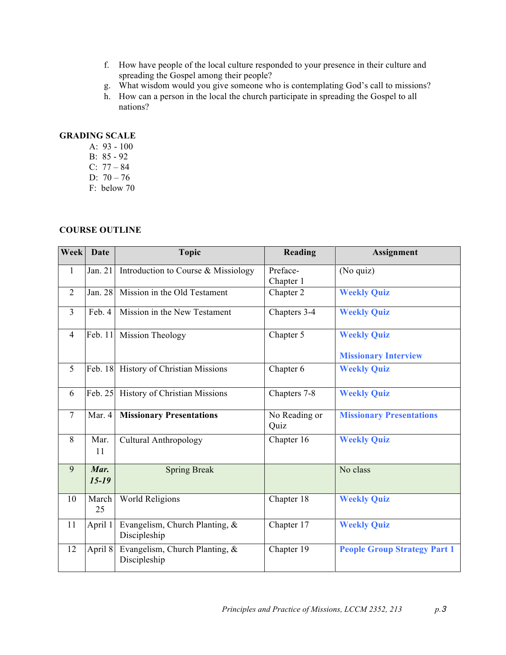- f. How have people of the local culture responded to your presence in their culture and spreading the Gospel among their people?
- g. What wisdom would you give someone who is contemplating God's call to missions?
- h. How can a person in the local the church participate in spreading the Gospel to all nations?

## **GRADING SCALE**

- A: 93 100
- B: 85 92
- C: 77 84
- D:  $70 76$
- F: below 70

## **COURSE OUTLINE**

| <b>Week</b>    | <b>Date</b>       | <b>Topic</b>                                   | Reading               | Assignment                                        |
|----------------|-------------------|------------------------------------------------|-----------------------|---------------------------------------------------|
| $\mathbf{1}$   | Jan. 21           | Introduction to Course & Missiology            | Preface-<br>Chapter 1 | (No quiz)                                         |
| $\overline{2}$ | Jan. 28           | Mission in the Old Testament                   | Chapter 2             | <b>Weekly Quiz</b>                                |
| $\overline{3}$ | Feb. 4            | Mission in the New Testament                   | Chapters 3-4          | <b>Weekly Quiz</b>                                |
| $\overline{4}$ | Feb. 11           | <b>Mission Theology</b>                        | Chapter 5             | <b>Weekly Quiz</b><br><b>Missionary Interview</b> |
| 5              | Feb. 18           | History of Christian Missions                  | Chapter 6             | <b>Weekly Quiz</b>                                |
| 6              | Feb. 25           | History of Christian Missions                  | Chapters 7-8          | <b>Weekly Quiz</b>                                |
| $\overline{7}$ | Mar. 4            | <b>Missionary Presentations</b>                | No Reading or<br>Quiz | <b>Missionary Presentations</b>                   |
| 8              | Mar.<br>11        | <b>Cultural Anthropology</b>                   | Chapter 16            | <b>Weekly Quiz</b>                                |
| 9              | Mar.<br>$15 - 19$ | <b>Spring Break</b>                            |                       | No class                                          |
| 10             | March<br>25       | <b>World Religions</b>                         | Chapter 18            | <b>Weekly Quiz</b>                                |
| 11             | April 1           | Evangelism, Church Planting, &<br>Discipleship | Chapter 17            | <b>Weekly Quiz</b>                                |
| 12             | April 8           | Evangelism, Church Planting, &<br>Discipleship | Chapter 19            | <b>People Group Strategy Part 1</b>               |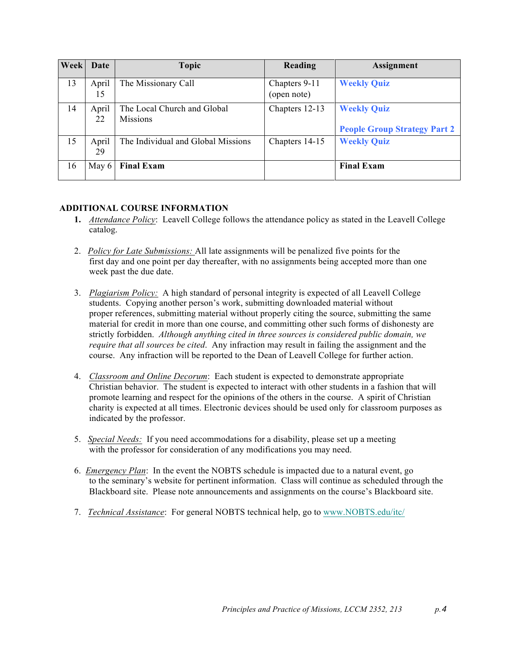| Week | Date        | Topic                                          | Reading                      | Assignment                                                |
|------|-------------|------------------------------------------------|------------------------------|-----------------------------------------------------------|
| 13   | April<br>15 | The Missionary Call                            | Chapters 9-11<br>(open note) | <b>Weekly Quiz</b>                                        |
| 14   | April<br>22 | The Local Church and Global<br><b>Missions</b> | Chapters 12-13               | <b>Weekly Quiz</b><br><b>People Group Strategy Part 2</b> |
| 15   | April<br>29 | The Individual and Global Missions             | Chapters 14-15               | <b>Weekly Quiz</b>                                        |
| 16   | May 6       | <b>Final Exam</b>                              |                              | <b>Final Exam</b>                                         |

## **ADDITIONAL COURSE INFORMATION**

- **1.** *Attendance Policy*: Leavell College follows the attendance policy as stated in the Leavell College catalog.
- 2. *Policy for Late Submissions:* All late assignments will be penalized five points for the first day and one point per day thereafter, with no assignments being accepted more than one week past the due date.
- 3. *Plagiarism Policy:* A high standard of personal integrity is expected of all Leavell College students. Copying another person's work, submitting downloaded material without proper references, submitting material without properly citing the source, submitting the same material for credit in more than one course, and committing other such forms of dishonesty are strictly forbidden. *Although anything cited in three sources is considered public domain, we require that all sources be cited*. Any infraction may result in failing the assignment and the course. Any infraction will be reported to the Dean of Leavell College for further action.
- 4. *Classroom and Online Decorum*: Each student is expected to demonstrate appropriate Christian behavior. The student is expected to interact with other students in a fashion that will promote learning and respect for the opinions of the others in the course. A spirit of Christian charity is expected at all times. Electronic devices should be used only for classroom purposes as indicated by the professor.
- 5. *Special Needs:* If you need accommodations for a disability, please set up a meeting with the professor for consideration of any modifications you may need.
- 6. *Emergency Plan*: In the event the NOBTS schedule is impacted due to a natural event, go to the seminary's website for pertinent information. Class will continue as scheduled through the Blackboard site. Please note announcements and assignments on the course's Blackboard site.
- 7. *Technical Assistance*: For general NOBTS technical help, go to www.NOBTS.edu/itc/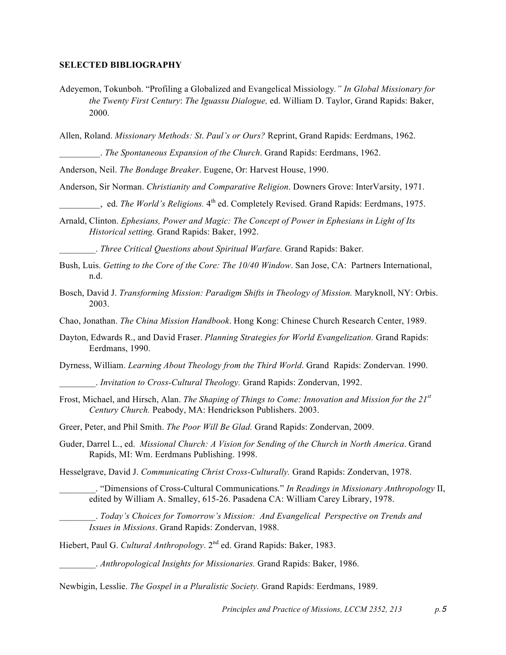#### **SELECTED BIBLIOGRAPHY**

Adeyemon, Tokunboh. "Profiling a Globalized and Evangelical Missiology*." In Global Missionary for the Twenty First Century*: *The Iguassu Dialogue,* ed. William D. Taylor, Grand Rapids: Baker, 2000.

Allen, Roland. *Missionary Methods: St*. *Paul's or Ours?* Reprint, Grand Rapids: Eerdmans, 1962.

\_\_\_\_\_\_\_\_\_. *The Spontaneous Expansion of the Church*. Grand Rapids: Eerdmans, 1962.

Anderson, Neil. *The Bondage Breaker*. Eugene, Or: Harvest House, 1990.

Anderson, Sir Norman. *Christianity and Comparative Religion*. Downers Grove: InterVarsity, 1971.

d. *The World's Religions*. 4<sup>th</sup> ed. Completely Revised. Grand Rapids: Eerdmans, 1975.

Arnald, Clinton. *Ephesians, Power and Magic: The Concept of Power in Ephesians in Light of Its Historical setting.* Grand Rapids: Baker, 1992.

\_\_\_\_\_\_\_\_. *Three Critical Questions about Spiritual Warfare.* Grand Rapids: Baker.

- Bush, Luis. *Getting to the Core of the Core: The 10/40 Window*. San Jose, CA: Partners International, n.d.
- Bosch, David J. *Transforming Mission: Paradigm Shifts in Theology of Mission.* Maryknoll, NY: Orbis. 2003.
- Chao, Jonathan. *The China Mission Handbook*. Hong Kong: Chinese Church Research Center, 1989.
- Dayton, Edwards R., and David Fraser. *Planning Strategies for World Evangelization.* Grand Rapids: Eerdmans, 1990.

Dyrness, William. *Learning About Theology from the Third World*. Grand Rapids: Zondervan. 1990.

\_\_\_\_\_\_\_\_. *Invitation to Cross-Cultural Theology.* Grand Rapids: Zondervan, 1992.

Frost, Michael, and Hirsch, Alan. *The Shaping of Things to Come: Innovation and Mission for the 21st Century Church.* Peabody, MA: Hendrickson Publishers. 2003.

Greer, Peter, and Phil Smith. *The Poor Will Be Glad.* Grand Rapids: Zondervan, 2009.

Guder, Darrel L., ed. *Missional Church: A Vision for Sending of the Church in North America*. Grand Rapids, MI: Wm. Eerdmans Publishing. 1998.

Hesselgrave, David J. *Communicating Christ Cross-Culturally.* Grand Rapids: Zondervan, 1978.

\_\_\_\_\_\_\_\_. "Dimensions of Cross-Cultural Communications*.*" *In Readings in Missionary Anthropology* II, edited by William A. Smalley, 615-26. Pasadena CA: William Carey Library, 1978.

\_\_\_\_\_\_\_\_. *Today's Choices for Tomorrow's Mission: And Evangelical Perspective on Trends and Issues in Missions*. Grand Rapids: Zondervan, 1988.

Hiebert, Paul G. *Cultural Anthropology*. 2nd ed. Grand Rapids: Baker, 1983.

\_\_\_\_\_\_\_\_. *Anthropological Insights for Missionaries.* Grand Rapids: Baker, 1986.

Newbigin, Lesslie. *The Gospel in a Pluralistic Society.* Grand Rapids: Eerdmans, 1989.